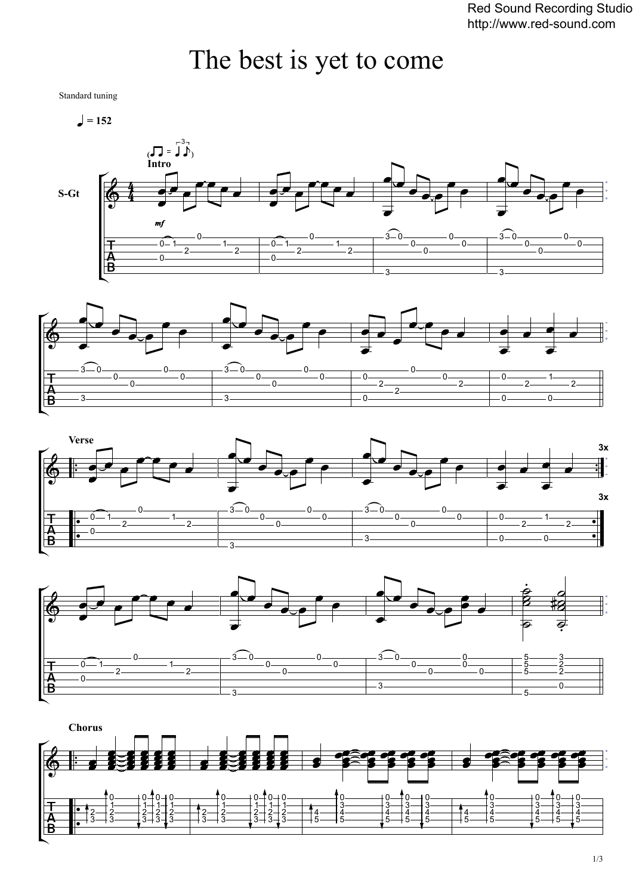## The best is yet to come

Standard tuning

 $= 152$ 









**Chorus**  $\mathbb{R}$  $\circ$  0  $0 + 0$  $\overline{0}$  0  $0 + 0$  $\overline{0}$  0  $0 - 0$  $\overline{0}$  0  $\overline{0}$  0  $\frac{2}{3}$   $\frac{1}{3}$   $\frac{4}{5}$   $\frac{4}{5}$   $3 + 3$  $3 \rightarrow 3$   $3 + 3$   $5 - 5$   $5 - 5$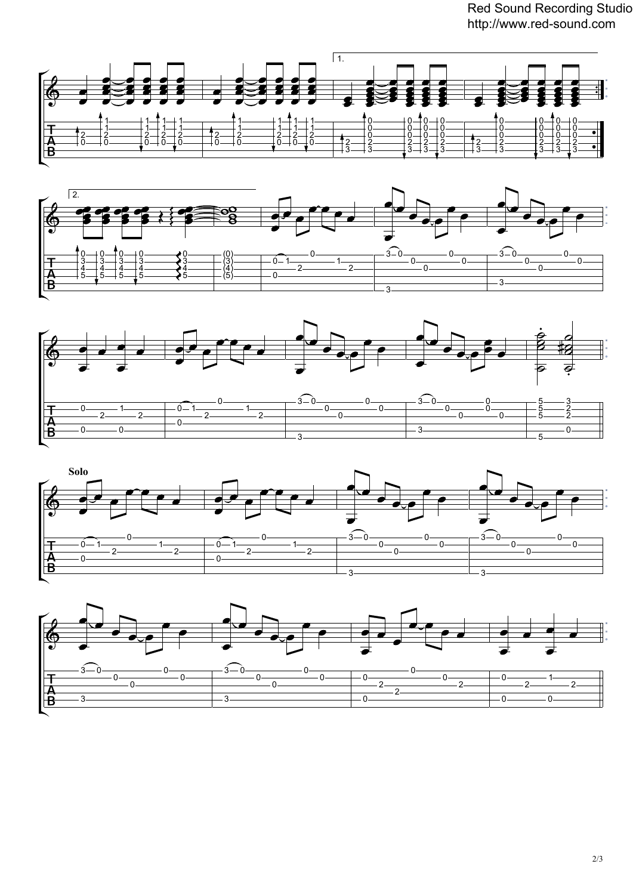Red Sound Recording Studio http://www.red-sound.com